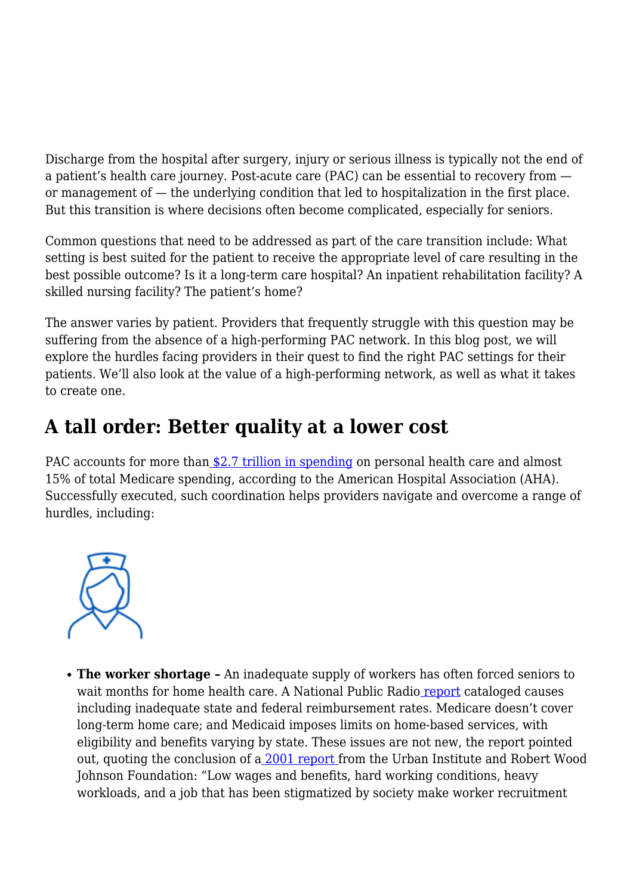Discharge from the hospital after surgery, injury or serious illness is typically not the end of a patient's health care journey. Post-acute care (PAC) can be essential to recovery from or management of — the underlying condition that led to hospitalization in the first place. But this transition is where decisions often become complicated, especially for seniors.

Common questions that need to be addressed as part of the care transition include: What setting is best suited for the patient to receive the appropriate level of care resulting in the best possible outcome? Is it a long-term care hospital? An inpatient rehabilitation facility? A skilled nursing facility? The patient's home?

The answer varies by patient. Providers that frequently struggle with this question may be suffering from the absence of a high-performing PAC network. In this blog post, we will explore the hurdles facing providers in their quest to find the right PAC settings for their patients. We'll also look at the value of a high-performing network, as well as what it takes to create one.

## **A tall order: Better quality at a lower cost**

PAC accou[n](https://www.aha.org/advocacy/long-term-care-and-rehabilitation)ts for more than [\\$2.7 trillion in spending](https://www.aha.org/advocacy/long-term-care-and-rehabilitation) on personal health care and almost 15% of total Medicare spending, according to the American Hospital Association (AHA). Successfully executed, such coordination helps providers navigate and overcome a range of hurdles, including:



**The worker shortage –** An inadequate supply of workers has often forced seniors to wait months for home health care. A National Public Radi[o report](https://www.npr.org/sections/health-shots/2021/06/30/1010328071/with-workers-in-short-supply-seniors-often-wait-months-for-home-health-care) cataloged causes including inadequate state and federal reimbursement rates. Medicare doesn't cover long-term home care; and Medicaid imposes limits on home-based services, with eligibility and benefits varying by state. These issues are not new, the report pointed out, quoting the conclusion of a [2001 report](https://www.urban.org/research/publication/who-will-care-us-addressing-long-term-care-workforce-crisis) from the Urban Institute and Robert Wood Johnson Foundation: "Low wages and benefits, hard working conditions, heavy workloads, and a job that has been stigmatized by society make worker recruitment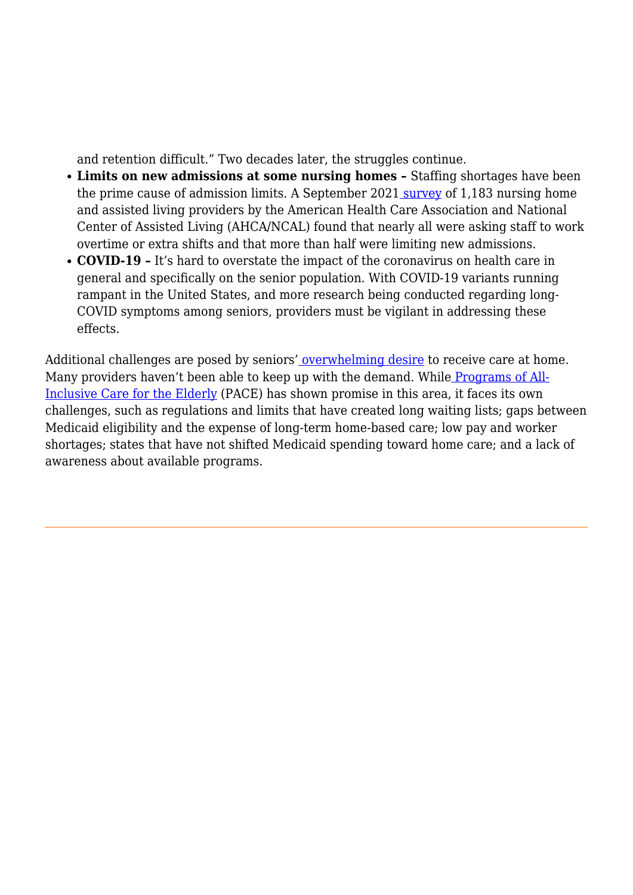and retention difficult." Two decades later, the struggles continue.

- **Limits on new admissions at some nursing homes** Staffing shortages have been the prime cause of admission limits. A September 2021 [survey](https://www.ahcancal.org/News-and-Communications/Fact-Sheets/FactSheets/Workforce-Survey-September2021.pdf) of 1,183 nursing home and assisted living providers by the American Health Care Association and National Center of Assisted Living (AHCA/NCAL) found that nearly all were asking staff to work overtime or extra shifts and that more than half were limiting new admissions.
- **COVID-19 –** It's hard to overstate the impact of the coronavirus on health care in general and specifically on the senior population. With COVID-19 variants running rampant in the United States, and more research being conducted regarding long-COVID symptoms among seniors, providers must be vigilant in addressing these effects.

Additional challenges are posed by seniors' [overwhelming desire](https://assets.aarp.org/rgcenter/ppi/liv-com/ib190.pdf) to receive care at home. Many providers haven't been able to keep up with the demand. While [Programs of All-](https://navihealth.com/essentialinsights/is-pace-a-missing-puzzle-piece-for-the-future-of-senior-care/)[Inclusive Care for the Elderly](https://navihealth.com/essentialinsights/is-pace-a-missing-puzzle-piece-for-the-future-of-senior-care/) (PACE) has shown promise in this area, it faces its own challenges, such as regulations and limits that have created long waiting lists; gaps between Medicaid eligibility and the expense of long-term home-based care; low pay and worker shortages; states that have not shifted Medicaid spending toward home care; and a lack of awareness about available programs.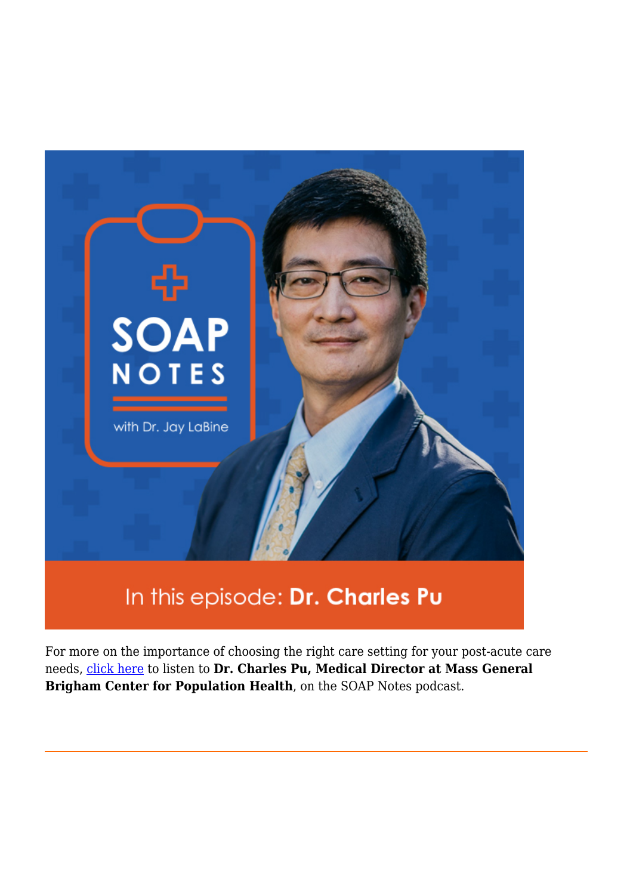

## In this episode: Dr. Charles Pu

For more on the importance of choosing the right care setting for your post-acute care needs, [click here](https://navihealth.com/essentialinsights/soap-notes-episode-three-featuring-dr-charles-pu/) to listen to **Dr. Charles Pu, Medical Director at Mass General Brigham Center for Population Health**, on the SOAP Notes podcast.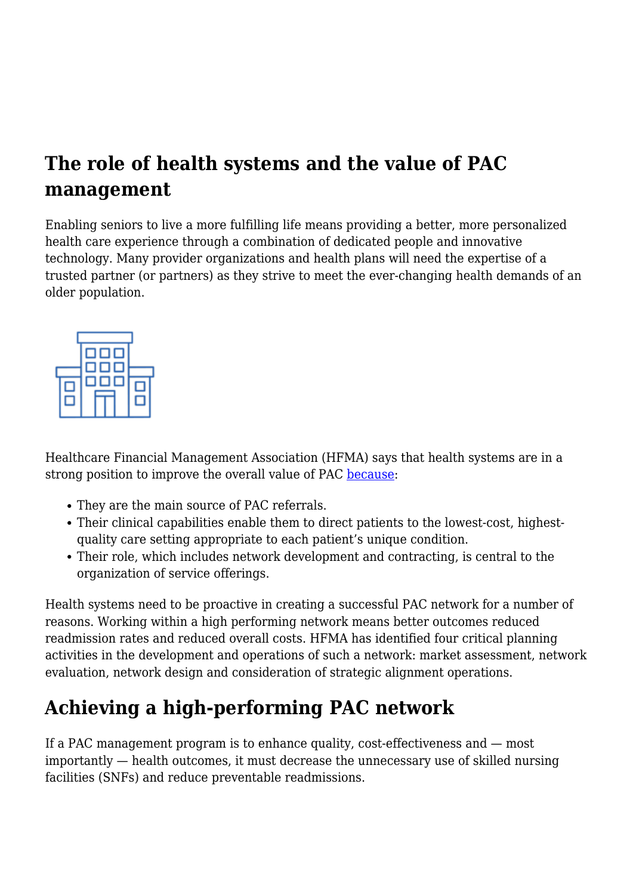## **The role of health systems and the value of PAC management**

Enabling seniors to live a more fulfilling life means providing a better, more personalized health care experience through a combination of dedicated people and innovative technology. Many provider organizations and health plans will need the expertise of a trusted partner (or partners) as they strive to meet the ever-changing health demands of an older population.



Healthcare Financial Management Association (HFMA) says that health systems are in a strong position to improve the overall value of PAC [because](https://www.hfma.org/topics/hfm/2018/may/60603.html):

- They are the main source of PAC referrals.
- Their clinical capabilities enable them to direct patients to the lowest-cost, highestquality care setting appropriate to each patient's unique condition.
- Their role, which includes network development and contracting, is central to the organization of service offerings.

Health systems need to be proactive in creating a successful PAC network for a number of reasons. Working within a high performing network means better outcomes reduced readmission rates and reduced overall costs. HFMA has identified four critical planning activities in the development and operations of such a network: market assessment, network evaluation, network design and consideration of strategic alignment operations.

## **Achieving a high-performing PAC network**

If a PAC management program is to enhance quality, cost-effectiveness and — most importantly — health outcomes, it must decrease the unnecessary use of skilled nursing facilities (SNFs) and reduce preventable readmissions.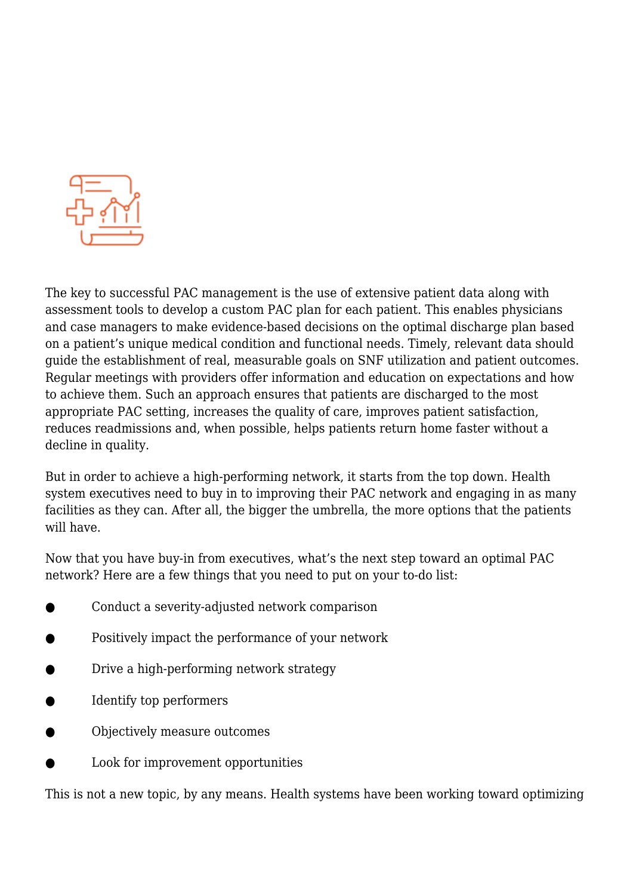

The key to successful PAC management is the use of extensive patient data along with assessment tools to develop a custom PAC plan for each patient. This enables physicians and case managers to make evidence-based decisions on the optimal discharge plan based on a patient's unique medical condition and functional needs. Timely, relevant data should guide the establishment of real, measurable goals on SNF utilization and patient outcomes. Regular meetings with providers offer information and education on expectations and how to achieve them. Such an approach ensures that patients are discharged to the most appropriate PAC setting, increases the quality of care, improves patient satisfaction, reduces readmissions and, when possible, helps patients return home faster without a decline in quality.

But in order to achieve a high-performing network, it starts from the top down. Health system executives need to buy in to improving their PAC network and engaging in as many facilities as they can. After all, the bigger the umbrella, the more options that the patients will have.

Now that you have buy-in from executives, what's the next step toward an optimal PAC network? Here are a few things that you need to put on your to-do list:

- Conduct a severity-adjusted network comparison
- Positively impact the performance of your network
- Drive a high-performing network strategy
- Identify top performers
- Objectively measure outcomes
- Look for improvement opportunities

This is not a new topic, by any means. Health systems have been working toward optimizing